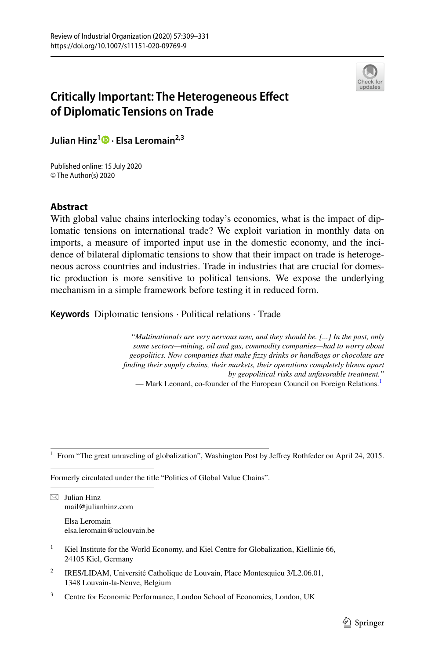

# **Critically Important: The Heterogeneous Efect of Diplomatic Tensions on Trade**

**Julian Hinz<sup>1</sup>  [·](http://orcid.org/0000-0002-4735-774X) Elsa Leromain2,3**

Published online: 15 July 2020 © The Author(s) 2020

## **Abstract**

With global value chains interlocking today's economies, what is the impact of diplomatic tensions on international trade? We exploit variation in monthly data on imports, a measure of imported input use in the domestic economy, and the incidence of bilateral diplomatic tensions to show that their impact on trade is heterogeneous across countries and industries. Trade in industries that are crucial for domestic production is more sensitive to political tensions. We expose the underlying mechanism in a simple framework before testing it in reduced form.

**Keywords** Diplomatic tensions · Political relations · Trade

*"Multinationals are very nervous now, and they should be. [...] In the past, only some sectors—mining, oil and gas, commodity companies—had to worry about geopolitics. Now companies that make fzzy drinks or handbags or chocolate are fnding their supply chains, their markets, their operations completely blown apart by geopolitical risks and unfavorable treatment."* — Mark Leonard, co-founder of the European Council on Foreign Relations.<sup>[1](#page-0-0)</sup>

<span id="page-0-0"></span><sup>1</sup> From "The great unraveling of globalization", Washington Post by Jefrey Rothfeder on April 24, 2015.

Formerly circulated under the title "Politics of Global Value Chains".

 $\boxtimes$  Julian Hinz mail@julianhinz.com

> Elsa Leromain elsa.leromain@uclouvain.be

- <sup>1</sup> Kiel Institute for the World Economy, and Kiel Centre for Globalization, Kiellinie 66, 24105 Kiel, Germany
- <sup>2</sup> IRES/LIDAM, Université Catholique de Louvain, Place Montesquieu  $3/L2.06.01$ , 1348 Louvain-la-Neuve, Belgium
- <sup>3</sup> Centre for Economic Performance, London School of Economics, London, UK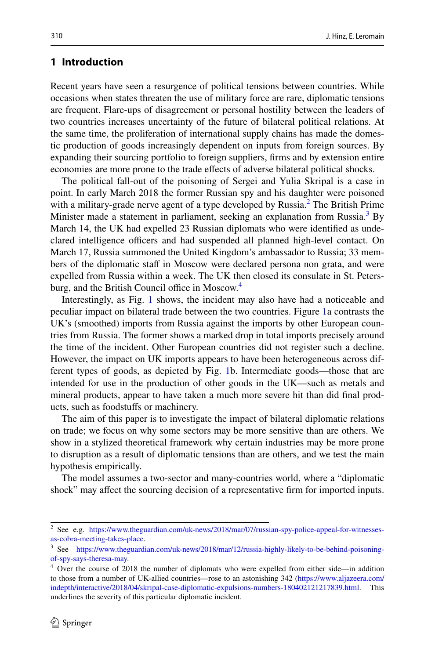## **1 Introduction**

Recent years have seen a resurgence of political tensions between countries. While occasions when states threaten the use of military force are rare, diplomatic tensions are frequent. Flare-ups of disagreement or personal hostility between the leaders of two countries increases uncertainty of the future of bilateral political relations. At the same time, the proliferation of international supply chains has made the domestic production of goods increasingly dependent on inputs from foreign sources. By expanding their sourcing portfolio to foreign suppliers, frms and by extension entire economies are more prone to the trade efects of adverse bilateral political shocks.

The political fall-out of the poisoning of Sergei and Yulia Skripal is a case in point. In early March 2018 the former Russian spy and his daughter were poisoned with a military-grade nerve agent of a type developed by Russia.<sup>[2](#page-1-0)</sup> The British Prime Minister made a statement in parliament, seeking an explanation from Russia.<sup>[3](#page-1-1)</sup> By March 14, the UK had expelled 23 Russian diplomats who were identifed as undeclared intelligence officers and had suspended all planned high-level contact. On March 17, Russia summoned the United Kingdom's ambassador to Russia; 33 members of the diplomatic staff in Moscow were declared persona non grata, and were expelled from Russia within a week. The UK then closed its consulate in St. Petersburg, and the British Council office in Moscow.<sup>4</sup>

Interestingly, as Fig. [1](#page-2-0) shows, the incident may also have had a noticeable and peculiar impact on bilateral trade between the two countries. Figure [1a](#page-2-0) contrasts the UK's (smoothed) imports from Russia against the imports by other European countries from Russia. The former shows a marked drop in total imports precisely around the time of the incident. Other European countries did not register such a decline. However, the impact on UK imports appears to have been heterogeneous across different types of goods, as depicted by Fig. [1b](#page-2-0). Intermediate goods—those that are intended for use in the production of other goods in the UK—such as metals and mineral products, appear to have taken a much more severe hit than did fnal products, such as foodstufs or machinery.

The aim of this paper is to investigate the impact of bilateral diplomatic relations on trade; we focus on why some sectors may be more sensitive than are others. We show in a stylized theoretical framework why certain industries may be more prone to disruption as a result of diplomatic tensions than are others, and we test the main hypothesis empirically.

The model assumes a two-sector and many-countries world, where a "diplomatic shock" may afect the sourcing decision of a representative frm for imported inputs.

<span id="page-1-0"></span><sup>2</sup> See e.g. [https://www.theguardian.com/uk-news/2018/mar/07/russian-spy-police-appeal-for-witnesses](https://www.theguardian.com/uk-news/2018/mar/07/russian-spy-police-appeal-for-witnesses-as-cobra-meeting-takes-place)[as-cobra-meeting-takes-place](https://www.theguardian.com/uk-news/2018/mar/07/russian-spy-police-appeal-for-witnesses-as-cobra-meeting-takes-place).

<span id="page-1-1"></span><sup>&</sup>lt;sup>3</sup> See [https://www.theguardian.com/uk-news/2018/mar/12/russia-highly-likely-to-be-behind-poisoning](https://www.theguardian.com/uk-news/2018/mar/12/russia-highly-likely-to-be-behind-poisoning-of-spy-says-theresa-may)[of-spy-says-theresa-may](https://www.theguardian.com/uk-news/2018/mar/12/russia-highly-likely-to-be-behind-poisoning-of-spy-says-theresa-may).

<span id="page-1-2"></span><sup>&</sup>lt;sup>4</sup> Over the course of 2018 the number of diplomats who were expelled from either side—in addition to those from a number of UK-allied countries—rose to an astonishing 342 ([https://www.aljazeera.com/](https://www.aljazeera.com/indepth/interactive/2018/04/skripal-case-diplomatic-expulsions-numbers-180402121217839.html) [indepth/interactive/2018/04/skripal-case-diplomatic-expulsions-numbers-180402121217839.html](https://www.aljazeera.com/indepth/interactive/2018/04/skripal-case-diplomatic-expulsions-numbers-180402121217839.html). This underlines the severity of this particular diplomatic incident.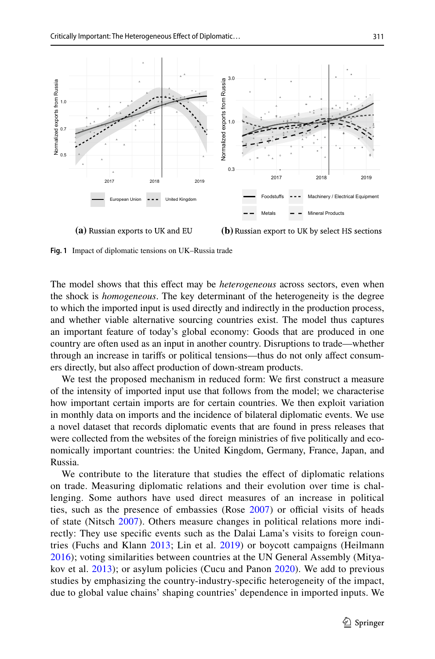

**(a)** Russian exports to UK and EU **(b)** Russian export to UK by select HS sections

<span id="page-2-0"></span>**Fig. 1** Impact of diplomatic tensions on UK–Russia trade

The model shows that this efect may be *heterogeneous* across sectors, even when the shock is *homogeneous*. The key determinant of the heterogeneity is the degree to which the imported input is used directly and indirectly in the production process, and whether viable alternative sourcing countries exist. The model thus captures an important feature of today's global economy: Goods that are produced in one country are often used as an input in another country. Disruptions to trade—whether through an increase in tarifs or political tensions—thus do not only afect consumers directly, but also afect production of down-stream products.

We test the proposed mechanism in reduced form: We frst construct a measure of the intensity of imported input use that follows from the model; we characterise how important certain imports are for certain countries. We then exploit variation in monthly data on imports and the incidence of bilateral diplomatic events. We use a novel dataset that records diplomatic events that are found in press releases that were collected from the websites of the foreign ministries of fve politically and economically important countries: the United Kingdom, Germany, France, Japan, and Russia.

We contribute to the literature that studies the efect of diplomatic relations on trade. Measuring diplomatic relations and their evolution over time is challenging. Some authors have used direct measures of an increase in political ties, such as the presence of embassies (Rose  $2007$ ) or official visits of heads of state (Nitsch [2007](#page-21-1)). Others measure changes in political relations more indirectly: They use specifc events such as the Dalai Lama's visits to foreign countries (Fuchs and Klann [2013;](#page-21-2) Lin et al. [2019\)](#page-21-3) or boycott campaigns (Heilmann [2016\)](#page-21-4); voting similarities between countries at the UN General Assembly (Mityakov et al. [2013](#page-21-5)); or asylum policies (Cucu and Panon [2020](#page-21-6)). We add to previous studies by emphasizing the country-industry-specifc heterogeneity of the impact, due to global value chains' shaping countries' dependence in imported inputs. We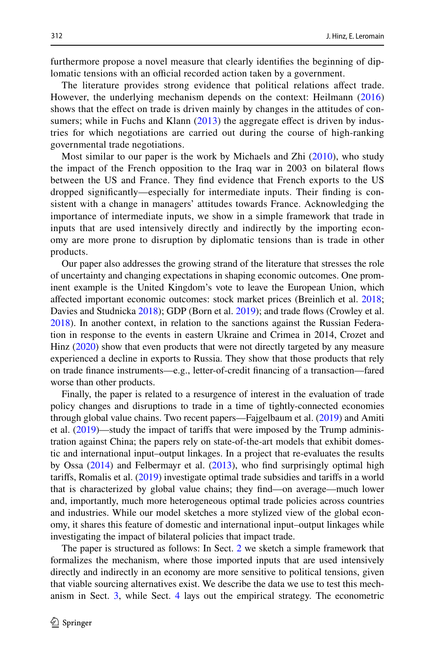furthermore propose a novel measure that clearly identifes the beginning of diplomatic tensions with an official recorded action taken by a government.

The literature provides strong evidence that political relations afect trade. However, the underlying mechanism depends on the context: Heilmann [\(2016](#page-21-4)) shows that the efect on trade is driven mainly by changes in the attitudes of con-sumers; while in Fuchs and Klann [\(2013\)](#page-21-2) the aggregate effect is driven by industries for which negotiations are carried out during the course of high-ranking governmental trade negotiations.

Most similar to our paper is the work by Michaels and Zhi ([2010](#page-21-7)), who study the impact of the French opposition to the Iraq war in 2003 on bilateral fows between the US and France. They fnd evidence that French exports to the US dropped signifcantly—especially for intermediate inputs. Their fnding is consistent with a change in managers' attitudes towards France. Acknowledging the importance of intermediate inputs, we show in a simple framework that trade in inputs that are used intensively directly and indirectly by the importing economy are more prone to disruption by diplomatic tensions than is trade in other products.

Our paper also addresses the growing strand of the literature that stresses the role of uncertainty and changing expectations in shaping economic outcomes. One prominent example is the United Kingdom's vote to leave the European Union, which afected important economic outcomes: stock market prices (Breinlich et al. [2018;](#page-21-8) Davies and Studnicka [2018\)](#page-21-9); GDP (Born et al. [2019](#page-21-10)); and trade fows (Crowley et al. [2018](#page-21-11)). In another context, in relation to the sanctions against the Russian Federation in response to the events in eastern Ukraine and Crimea in 2014, Crozet and Hinz ([2020\)](#page-21-12) show that even products that were not directly targeted by any measure experienced a decline in exports to Russia. They show that those products that rely on trade fnance instruments—e.g., letter-of-credit fnancing of a transaction—fared worse than other products.

Finally, the paper is related to a resurgence of interest in the evaluation of trade policy changes and disruptions to trade in a time of tightly-connected economies through global value chains. Two recent papers—Fajgelbaum et al. ([2019\)](#page-21-13) and Amiti et al. [\(2019](#page-21-14))—study the impact of tarifs that were imposed by the Trump administration against China; the papers rely on state-of-the-art models that exhibit domestic and international input–output linkages. In a project that re-evaluates the results by Ossa [\(2014](#page-21-15)) and Felbermayr et al. [\(2013](#page-21-16)), who fnd surprisingly optimal high tarifs, Romalis et al. [\(2019](#page-21-17)) investigate optimal trade subsidies and tarifs in a world that is characterized by global value chains; they fnd—on average—much lower and, importantly, much more heterogeneous optimal trade policies across countries and industries. While our model sketches a more stylized view of the global economy, it shares this feature of domestic and international input–output linkages while investigating the impact of bilateral policies that impact trade.

The paper is structured as follows: In Sect. [2](#page-4-0) we sketch a simple framework that formalizes the mechanism, where those imported inputs that are used intensively directly and indirectly in an economy are more sensitive to political tensions, given that viable sourcing alternatives exist. We describe the data we use to test this mechanism in Sect. [3,](#page-6-0) while Sect. [4](#page-8-0) lays out the empirical strategy. The econometric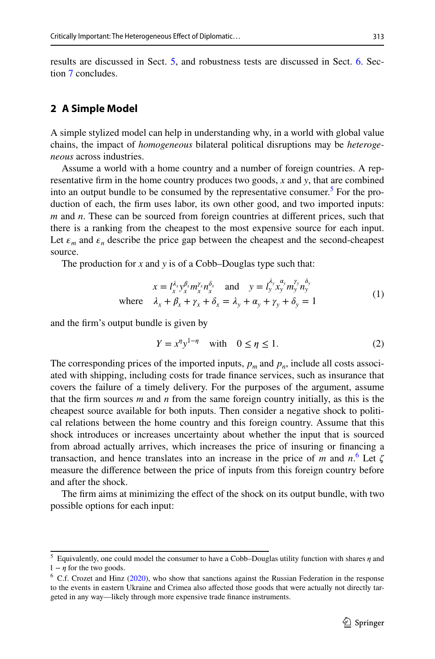results are discussed in Sect. [5](#page-9-0), and robustness tests are discussed in Sect. [6.](#page-11-0) Section [7](#page-12-0) concludes.

#### <span id="page-4-0"></span>**2 A Simple Model**

A simple stylized model can help in understanding why, in a world with global value chains, the impact of *homogeneous* bilateral political disruptions may be *heterogeneous* across industries.

Assume a world with a home country and a number of foreign countries. A representative frm in the home country produces two goods, *x* and *y*, that are combined into an output bundle to be consumed by the representative consumer.<sup>[5](#page-4-1)</sup> For the production of each, the frm uses labor, its own other good, and two imported inputs: *m* and *n*. These can be sourced from foreign countries at diferent prices, such that there is a ranking from the cheapest to the most expensive source for each input. Let  $\varepsilon_m$  and  $\varepsilon_n$  describe the price gap between the cheapest and the second-cheapest source.

The production for *x* and *y* is of a Cobb–Douglas type such that:

$$
x = l_x^{\lambda_x} y_x^{\beta_x} m_x^{\gamma_x} n_x^{\delta_x} \text{ and } y = l_y^{\lambda_y} x_y^{\alpha_y} m_y^{\gamma_y} n_y^{\delta_y}
$$
  
where  $\lambda_x + \beta_x + \gamma_x + \delta_x = \lambda_y + \alpha_y + \gamma_y + \delta_y = 1$  (1)

and the frm's output bundle is given by

<span id="page-4-4"></span><span id="page-4-3"></span>
$$
Y = x^{\eta} y^{1-\eta} \quad \text{with} \quad 0 \le \eta \le 1. \tag{2}
$$

The corresponding prices of the imported inputs,  $p_m$  and  $p_n$ , include all costs associated with shipping, including costs for trade fnance services, such as insurance that covers the failure of a timely delivery. For the purposes of the argument, assume that the frm sources *m* and *n* from the same foreign country initially, as this is the cheapest source available for both inputs. Then consider a negative shock to political relations between the home country and this foreign country. Assume that this shock introduces or increases uncertainty about whether the input that is sourced from abroad actually arrives, which increases the price of insuring or fnancing a transaction, and hence translates into an increase in the price of *m* and  $n<sup>6</sup>$  $n<sup>6</sup>$  $n<sup>6</sup>$ . Let  $\zeta$ measure the diference between the price of inputs from this foreign country before and after the shock.

The frm aims at minimizing the efect of the shock on its output bundle, with two possible options for each input:

<span id="page-4-1"></span> $5$  Equivalently, one could model the consumer to have a Cobb–Douglas utility function with shares  $\eta$  and  $1 - \eta$  for the two goods.

<span id="page-4-2"></span> $6$  C.f. Crozet and Hinz [\(2020](#page-21-12)), who show that sanctions against the Russian Federation in the response to the events in eastern Ukraine and Crimea also afected those goods that were actually not directly targeted in any way—likely through more expensive trade fnance instruments.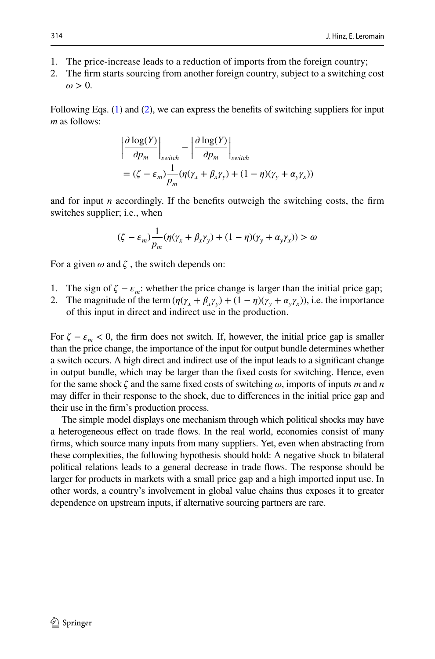- 1. The price-increase leads to a reduction of imports from the foreign country;
- 2. The frm starts sourcing from another foreign country, subject to a switching cost  $\omega > 0$ .

Following Eqs. ([1\)](#page-4-3) and [\(2\)](#page-4-4), we can express the benefits of switching suppliers for input *m* as follows:

$$
\left| \frac{\partial \log(Y)}{\partial p_m} \right|_{switch} - \left| \frac{\partial \log(Y)}{\partial p_m} \right|_{switch}
$$
  
=  $(\zeta - \varepsilon_m) \frac{1}{p_m} (\eta(\gamma_x + \beta_x \gamma_y) + (1 - \eta)(\gamma_y + \alpha_y \gamma_x))$ 

and for input  $n$  accordingly. If the benefits outweigh the switching costs, the firm switches supplier; i.e., when

$$
(\zeta - \varepsilon_m) \frac{1}{p_m} (\eta(\gamma_x + \beta_x \gamma_y) + (1 - \eta)(\gamma_y + \alpha_y \gamma_x)) > \omega
$$

For a given  $\omega$  and  $\zeta$ , the switch depends on:

- 1. The sign of  $\zeta \varepsilon_m$ : whether the price change is larger than the initial price gap;
- 2. The magnitude of the term  $(\eta(\gamma_x + \beta_x \gamma_y) + (1 \eta)(\gamma_y + \alpha_y \gamma_x))$ , i.e. the importance of this input in direct and indirect use in the production.

For  $\zeta - \varepsilon_m < 0$ , the firm does not switch. If, however, the initial price gap is smaller than the price change, the importance of the input for output bundle determines whether a switch occurs. A high direct and indirect use of the input leads to a signifcant change in output bundle, which may be larger than the fxed costs for switching. Hence, even for the same shock  $\zeta$  and the same fixed costs of switching  $\omega$ , imports of inputs *m* and *n* may difer in their response to the shock, due to diferences in the initial price gap and their use in the frm's production process.

The simple model displays one mechanism through which political shocks may have a heterogeneous efect on trade fows. In the real world, economies consist of many frms, which source many inputs from many suppliers. Yet, even when abstracting from these complexities, the following hypothesis should hold: A negative shock to bilateral political relations leads to a general decrease in trade fows. The response should be larger for products in markets with a small price gap and a high imported input use. In other words, a country's involvement in global value chains thus exposes it to greater dependence on upstream inputs, if alternative sourcing partners are rare.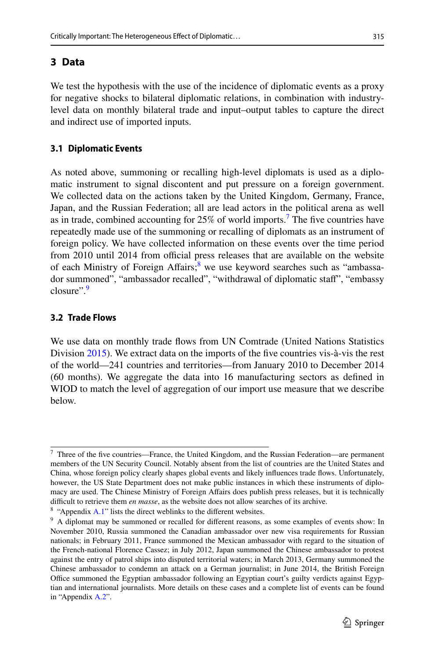## <span id="page-6-0"></span>**3 Data**

We test the hypothesis with the use of the incidence of diplomatic events as a proxy for negative shocks to bilateral diplomatic relations, in combination with industrylevel data on monthly bilateral trade and input–output tables to capture the direct and indirect use of imported inputs.

#### **3.1 Diplomatic Events**

As noted above, summoning or recalling high-level diplomats is used as a diplomatic instrument to signal discontent and put pressure on a foreign government. We collected data on the actions taken by the United Kingdom, Germany, France, Japan, and the Russian Federation; all are lead actors in the political arena as well as in trade, combined accounting for  $25\%$  of world imports.<sup>[7](#page-6-1)</sup> The five countries have repeatedly made use of the summoning or recalling of diplomats as an instrument of foreign policy. We have collected information on these events over the time period from 2010 until 2014 from official press releases that are available on the website of each Ministry of Foreign Affairs;<sup>8</sup> we use keyword searches such as "ambassador summoned", "ambassador recalled", "withdrawal of diplomatic staff", "embassy closure".[9](#page-6-3)

#### **3.2 Trade Flows**

We use data on monthly trade fows from UN Comtrade (United Nations Statistics Division [2015\)](#page-22-0). We extract data on the imports of the five countries vis-à-vis the rest of the world—241 countries and territories—from January 2010 to December 2014 (60 months). We aggregate the data into 16 manufacturing sectors as defned in WIOD to match the level of aggregation of our import use measure that we describe below.

<span id="page-6-1"></span> $7$  Three of the five countries—France, the United Kingdom, and the Russian Federation—are permanent members of the UN Security Council. Notably absent from the list of countries are the United States and China, whose foreign policy clearly shapes global events and likely infuences trade fows. Unfortunately, however, the US State Department does not make public instances in which these instruments of diplomacy are used. The Chinese Ministry of Foreign Afairs does publish press releases, but it is technically difficult to retrieve them *en masse*, as the website does not allow searches of its archive.

<span id="page-6-2"></span> $8$  "Appendix [A.1"](#page-13-0) lists the direct weblinks to the different websites.

<span id="page-6-3"></span><sup>&</sup>lt;sup>9</sup> A diplomat may be summoned or recalled for different reasons, as some examples of events show: In November 2010, Russia summoned the Canadian ambassador over new visa requirements for Russian nationals; in February 2011, France summoned the Mexican ambassador with regard to the situation of the French-national Florence Cassez; in July 2012, Japan summoned the Chinese ambassador to protest against the entry of patrol ships into disputed territorial waters; in March 2013, Germany summoned the Chinese ambassador to condemn an attack on a German journalist; in June 2014, the British Foreign Office summoned the Egyptian ambassador following an Egyptian court's guilty verdicts against Egyptian and international journalists. More details on these cases and a complete list of events can be found in "Appendix [A.2](#page-13-1)".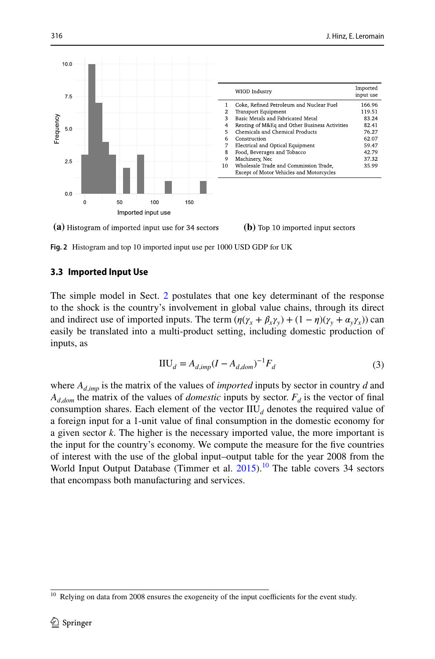

**(a)** Histogram of imported input use for 34 sectors **(b)** Top 10 imported input sectors

<span id="page-7-1"></span>**Fig. 2** Histogram and top 10 imported input use per 1000 USD GDP for UK

#### **3.3 Imported Input Use**

The simple model in Sect. [2](#page-4-0) postulates that one key determinant of the response to the shock is the country's involvement in global value chains, through its direct and indirect use of imported inputs. The term  $(\eta(\gamma_x + \beta_x \gamma_y) + (1 - \eta)(\gamma_y + \alpha_y \gamma_x))$  can easily be translated into a multi-product setting, including domestic production of inputs, as

$$
HU_d = A_{d,imp}(I - A_{d,dom})^{-1}F_d
$$
\n(3)

where  $A_{d,imp}$  is the matrix of the values of *imported* inputs by sector in country *d* and  $A_{d,dom}$  the matrix of the values of *domestic* inputs by sector.  $F_d$  is the vector of final consumption shares. Each element of the vector  $\text{HU}_{d}$  denotes the required value of a foreign input for a 1-unit value of fnal consumption in the domestic economy for a given sector *k*. The higher is the necessary imported value, the more important is the input for the country's economy. We compute the measure for the fve countries of interest with the use of the global input–output table for the year 2008 from the World Input Output Database (Timmer et al.  $2015$ ).<sup>10</sup> The table covers 34 sectors that encompass both manufacturing and services.

<span id="page-7-0"></span><sup>&</sup>lt;sup>10</sup> Relying on data from 2008 ensures the exogeneity of the input coefficients for the event study.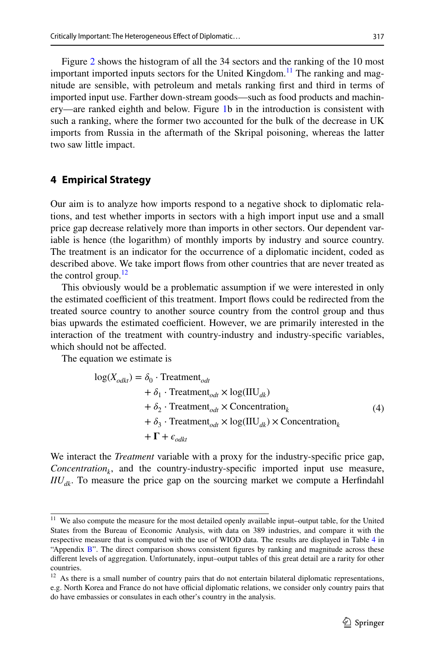Figure [2](#page-7-1) shows the histogram of all the 34 sectors and the ranking of the 10 most important imported inputs sectors for the United Kingdom.<sup>[11](#page-8-1)</sup> The ranking and magnitude are sensible, with petroleum and metals ranking frst and third in terms of imported input use. Farther down-stream goods—such as food products and machinery—are ranked eighth and below. Figure [1b](#page-2-0) in the introduction is consistent with such a ranking, where the former two accounted for the bulk of the decrease in UK imports from Russia in the aftermath of the Skripal poisoning, whereas the latter

## <span id="page-8-0"></span>**4 Empirical Strategy**

two saw little impact.

Our aim is to analyze how imports respond to a negative shock to diplomatic relations, and test whether imports in sectors with a high import input use and a small price gap decrease relatively more than imports in other sectors. Our dependent variable is hence (the logarithm) of monthly imports by industry and source country. The treatment is an indicator for the occurrence of a diplomatic incident, coded as described above. We take import fows from other countries that are never treated as the control group. $12$ 

This obviously would be a problematic assumption if we were interested in only the estimated coefficient of this treatment. Import flows could be redirected from the treated source country to another source country from the control group and thus bias upwards the estimated coefficient. However, we are primarily interested in the interaction of the treatment with country-industry and industry-specifc variables, which should not be afected.

The equation we estimate is

<span id="page-8-3"></span>
$$
log(X_{odkt}) = \delta_0 \cdot Treatment_{odt}
$$
  
+  $\delta_1 \cdot Treatment_{odt} \times log(HU_{dk})$   
+  $\delta_2 \cdot Treatment_{odt} \times concentration_k$   
+  $\delta_3 \cdot Treatment_{odt} \times log(HU_{dk}) \times concentration_k$   
+  $\Gamma + \epsilon_{odkt}$  (4)

We interact the *Treatment* variable with a proxy for the industry-specifc price gap, *Concentration<sub>k</sub>*, and the country-industry-specific imported input use measure,  $I\ell U_{d\mu}$ . To measure the price gap on the sourcing market we compute a Herfindahl

<span id="page-8-1"></span><sup>&</sup>lt;sup>11</sup> We also compute the measure for the most detailed openly available input–output table, for the United States from the Bureau of Economic Analysis, with data on 389 industries, and compare it with the respective measure that is computed with the use of WIOD data. The results are displayed in Table [4](#page-20-0) in "Appendix [B"](#page-20-1). The direct comparison shows consistent figures by ranking and magnitude across these diferent levels of aggregation. Unfortunately, input–output tables of this great detail are a rarity for other countries.

<span id="page-8-2"></span> $12$  As there is a small number of country pairs that do not entertain bilateral diplomatic representations, e.g. North Korea and France do not have official diplomatic relations, we consider only country pairs that do have embassies or consulates in each other's country in the analysis.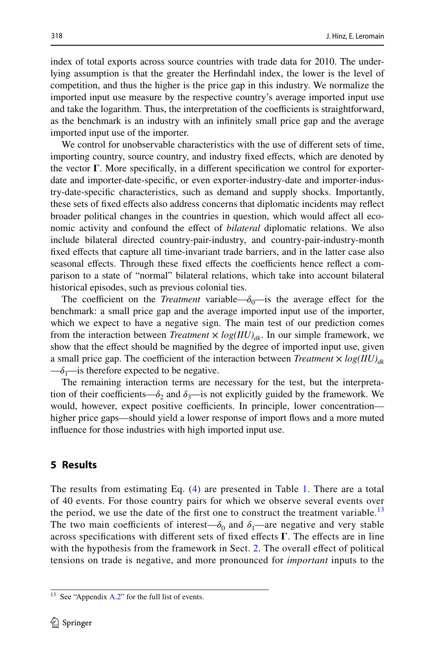index of total exports across source countries with trade data for 2010. The underlying assumption is that the greater the Herfndahl index, the lower is the level of competition, and thus the higher is the price gap in this industry. We normalize the imported input use measure by the respective country's average imported input use and take the logarithm. Thus, the interpretation of the coefficients is straightforward, as the benchmark is an industry with an infnitely small price gap and the average imported input use of the importer.

We control for unobservable characteristics with the use of diferent sets of time, importing country, source country, and industry fxed efects, which are denoted by the vector  $\Gamma$ . More specifically, in a different specification we control for exporterdate and importer-date-specifc, or even exporter-industry-date and importer-industry-date-specifc characteristics, such as demand and supply shocks. Importantly, these sets of fxed efects also address concerns that diplomatic incidents may refect broader political changes in the countries in question, which would afect all economic activity and confound the efect of *bilateral* diplomatic relations. We also include bilateral directed country-pair-industry, and country-pair-industry-month fxed efects that capture all time-invariant trade barriers, and in the latter case also seasonal effects. Through these fixed effects the coefficients hence reflect a comparison to a state of "normal" bilateral relations, which take into account bilateral historical episodes, such as previous colonial ties.

The coefficient on the *Treatment* variable— $\delta_0$ —is the average effect for the benchmark: a small price gap and the average imported input use of the importer, which we expect to have a negative sign. The main test of our prediction comes from the interaction between *Treatment*  $\times log(III)_{d_k}$ . In our simple framework, we show that the efect should be magnifed by the degree of imported input use, given a small price gap. The coefficient of the interaction between *Treatment*  $\times$  *log(IIU)*<sub>*dk*</sub>  $-\delta_1$ —is therefore expected to be negative.

The remaining interaction terms are necessary for the test, but the interpretation of their coefficients— $\delta_2$  and  $\delta_3$ —is not explicitly guided by the framework. We would, however, expect positive coefficients. In principle, lower concentration higher price gaps—should yield a lower response of import flows and a more muted infuence for those industries with high imported input use.

#### <span id="page-9-0"></span>**5 Results**

The results from estimating Eq. [\(4\)](#page-8-3) are presented in Table [1.](#page-10-0) There are a total of 40 events. For those country pairs for which we observe several events over the period, we use the date of the first one to construct the treatment variable.<sup>[13](#page-9-1)</sup> The two main coefficients of interest— $\delta_0$  and  $\delta_1$ —are negative and very stable across specifications with different sets of fixed effects  $\Gamma$ . The effects are in line with the hypothesis from the framework in Sect. [2](#page-4-0). The overall effect of political tensions on trade is negative, and more pronounced for *important* inputs to the

<span id="page-9-1"></span> $13$  See "Appendix [A.2](#page-13-1)" for the full list of events.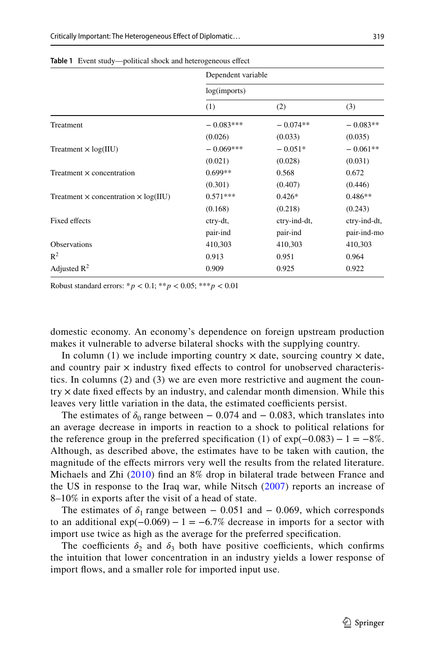|                                                    | Dependent variable |              |              |
|----------------------------------------------------|--------------------|--------------|--------------|
|                                                    | log(imports)       |              |              |
|                                                    | (1)                | (2)          | (3)          |
| Treatment                                          | $-0.083***$        | $-0.074**$   | $-0.083**$   |
|                                                    | (0.026)            | (0.033)      | (0.035)      |
| Treatment $\times$ log(IIU)                        | $-0.069***$        | $-0.051*$    | $-0.061**$   |
|                                                    | (0.021)            | (0.028)      | (0.031)      |
| Treatment $\times$ concentration                   | $0.699**$          | 0.568        | 0.672        |
|                                                    | (0.301)            | (0.407)      | (0.446)      |
| Treatment $\times$ concentration $\times$ log(IIU) | $0.571***$         | $0.426*$     | $0.486**$    |
|                                                    | (0.168)            | (0.218)      | (0.243)      |
| Fixed effects                                      | ctry-dt,           | ctry-ind-dt, | ctry-ind-dt, |
|                                                    | pair-ind           | pair-ind     | pair-ind-mo  |
| <b>Observations</b>                                | 410,303            | 410,303      | 410,303      |
| $R^2$                                              | 0.913              | 0.951        | 0.964        |
| Adjusted $R^2$                                     | 0.909              | 0.925        | 0.922        |

<span id="page-10-0"></span>Table 1 Event study—political shock and heterogeneous effect

Robust standard errors:  $* p < 0.1; ** p < 0.05; ** p < 0.01$ 

domestic economy. An economy's dependence on foreign upstream production makes it vulnerable to adverse bilateral shocks with the supplying country.

In column (1) we include importing country  $\times$  date, sourcing country  $\times$  date, and country pair  $\times$  industry fixed effects to control for unobserved characteristics. In columns (2) and (3) we are even more restrictive and augment the coun $try \times$  date fixed effects by an industry, and calendar month dimension. While this leaves very little variation in the data, the estimated coefficients persist.

The estimates of  $\delta_0$  range between – 0.074 and – 0.083, which translates into an average decrease in imports in reaction to a shock to political relations for the reference group in the preferred specification (1) of  $\exp(-0.083) - 1 = -8\%$ . Although, as described above, the estimates have to be taken with caution, the magnitude of the efects mirrors very well the results from the related literature. Michaels and Zhi ([2010\)](#page-21-7) fnd an 8% drop in bilateral trade between France and the US in response to the Iraq war, while Nitsch ([2007](#page-21-1)) reports an increase of 8–10% in exports after the visit of a head of state.

The estimates of  $\delta_1$  range between – 0.051 and – 0.069, which corresponds to an additional  $exp(-0.069) - 1 = -6.7\%$  decrease in imports for a sector with import use twice as high as the average for the preferred specifcation.

The coefficients  $\delta_2$  and  $\delta_3$  both have positive coefficients, which confirms the intuition that lower concentration in an industry yields a lower response of import flows, and a smaller role for imported input use.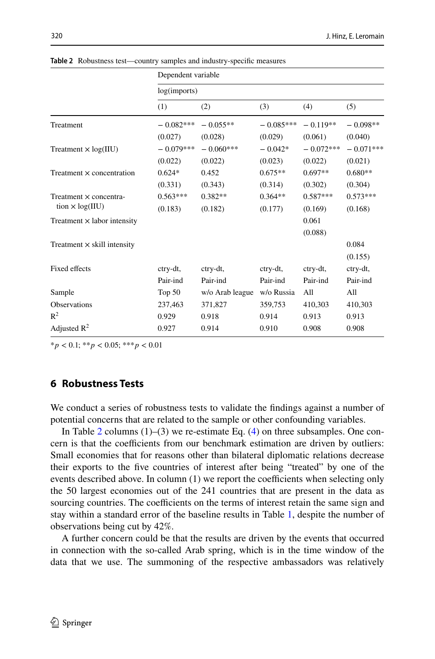|                                    | Dependent variable |                 |             |             |             |
|------------------------------------|--------------------|-----------------|-------------|-------------|-------------|
|                                    | log(imports)       |                 |             |             |             |
|                                    | (1)                | (2)             | (3)         | (4)         | (5)         |
| Treatment                          | $-0.082***$        | $-0.055**$      | $-0.085***$ | $-0.119**$  | $-0.098**$  |
|                                    | (0.027)            | (0.028)         | (0.029)     | (0.061)     | (0.040)     |
| Treatment $\times$ log(IIU)        | $-0.079***$        | $-0.060***$     | $-0.042*$   | $-0.072***$ | $-0.071***$ |
|                                    | (0.022)            | (0.022)         | (0.023)     | (0.022)     | (0.021)     |
| Treatment $\times$ concentration   | $0.624*$           | 0.452           | $0.675**$   | $0.697**$   | $0.680**$   |
|                                    | (0.331)            | (0.343)         | (0.314)     | (0.302)     | (0.304)     |
| Treatment × concentra-             | $0.563***$         | $0.382**$       | $0.364**$   | $0.587***$  | $0.573***$  |
| tion $\times$ log(IIU)             | (0.183)            | (0.182)         | (0.177)     | (0.169)     | (0.168)     |
| Treatment $\times$ labor intensity |                    |                 |             | 0.061       |             |
|                                    |                    |                 |             | (0.088)     |             |
| Treatment $\times$ skill intensity |                    |                 |             |             | 0.084       |
|                                    |                    |                 |             |             | (0.155)     |
| Fixed effects                      | ctry-dt,           | ctry-dt,        | ctry-dt,    | ctry-dt,    | ctry-dt,    |
|                                    | Pair-ind           | Pair-ind        | Pair-ind    | Pair-ind    | Pair-ind    |
| Sample                             | Top $50$           | w/o Arab league | w/o Russia  | A11         | All         |
| <b>Observations</b>                | 237,463            | 371,827         | 359,753     | 410,303     | 410,303     |
| $R^2$                              | 0.929              | 0.918           | 0.914       | 0.913       | 0.913       |
| Adjusted $R^2$                     | 0.927              | 0.914           | 0.910       | 0.908       | 0.908       |

<span id="page-11-1"></span>**Table 2** Robustness test—country samples and industry-specifc measures

\**p <* 0.1; \*\**p <* 0.05; \*\*\**p <* 0.01

## <span id="page-11-0"></span>**6 Robustness Tests**

We conduct a series of robustness tests to validate the fndings against a number of potential concerns that are related to the sample or other confounding variables.

In Table [2](#page-11-1) columns  $(1)$ – $(3)$  we re-estimate Eq.  $(4)$  $(4)$  on three subsamples. One concern is that the coefficients from our benchmark estimation are driven by outliers: Small economies that for reasons other than bilateral diplomatic relations decrease their exports to the fve countries of interest after being "treated" by one of the events described above. In column  $(1)$  we report the coefficients when selecting only the 50 largest economies out of the 241 countries that are present in the data as sourcing countries. The coefficients on the terms of interest retain the same sign and stay within a standard error of the baseline results in Table [1](#page-10-0), despite the number of observations being cut by 42%.

A further concern could be that the results are driven by the events that occurred in connection with the so-called Arab spring, which is in the time window of the data that we use. The summoning of the respective ambassadors was relatively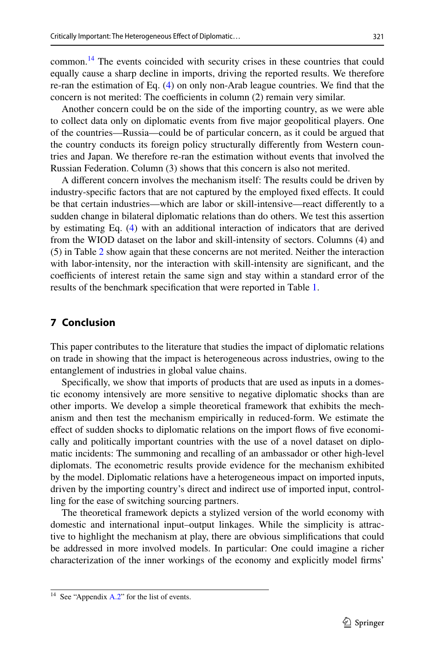common.[14](#page-12-1) The events coincided with security crises in these countries that could equally cause a sharp decline in imports, driving the reported results. We therefore re-ran the estimation of Eq. ([4\)](#page-8-3) on only non-Arab league countries. We fnd that the concern is not merited: The coefficients in column  $(2)$  remain very similar.

Another concern could be on the side of the importing country, as we were able to collect data only on diplomatic events from fve major geopolitical players. One of the countries—Russia—could be of particular concern, as it could be argued that the country conducts its foreign policy structurally diferently from Western countries and Japan. We therefore re-ran the estimation without events that involved the Russian Federation. Column (3) shows that this concern is also not merited.

A diferent concern involves the mechanism itself: The results could be driven by industry-specifc factors that are not captured by the employed fxed efects. It could be that certain industries—which are labor or skill-intensive—react diferently to a sudden change in bilateral diplomatic relations than do others. We test this assertion by estimating Eq. ([4\)](#page-8-3) with an additional interaction of indicators that are derived from the WIOD dataset on the labor and skill-intensity of sectors. Columns (4) and (5) in Table [2](#page-11-1) show again that these concerns are not merited. Neither the interaction with labor-intensity, nor the interaction with skill-intensity are signifcant, and the coefficients of interest retain the same sign and stay within a standard error of the results of the benchmark specifcation that were reported in Table [1.](#page-10-0)

#### <span id="page-12-0"></span>**7 Conclusion**

This paper contributes to the literature that studies the impact of diplomatic relations on trade in showing that the impact is heterogeneous across industries, owing to the entanglement of industries in global value chains.

Specifcally, we show that imports of products that are used as inputs in a domestic economy intensively are more sensitive to negative diplomatic shocks than are other imports. We develop a simple theoretical framework that exhibits the mechanism and then test the mechanism empirically in reduced-form. We estimate the efect of sudden shocks to diplomatic relations on the import fows of fve economically and politically important countries with the use of a novel dataset on diplomatic incidents: The summoning and recalling of an ambassador or other high-level diplomats. The econometric results provide evidence for the mechanism exhibited by the model. Diplomatic relations have a heterogeneous impact on imported inputs, driven by the importing country's direct and indirect use of imported input, controlling for the ease of switching sourcing partners.

The theoretical framework depicts a stylized version of the world economy with domestic and international input–output linkages. While the simplicity is attractive to highlight the mechanism at play, there are obvious simplifcations that could be addressed in more involved models. In particular: One could imagine a richer characterization of the inner workings of the economy and explicitly model frms'

<span id="page-12-1"></span><sup>&</sup>lt;sup>14</sup> See "Appendix [A.2](#page-13-1)" for the list of events.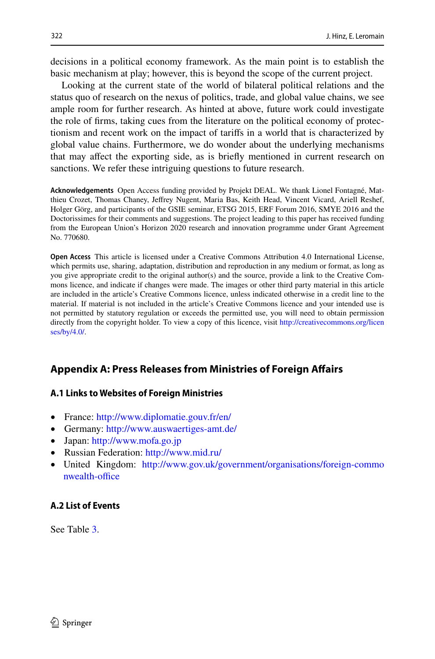decisions in a political economy framework. As the main point is to establish the basic mechanism at play; however, this is beyond the scope of the current project.

Looking at the current state of the world of bilateral political relations and the status quo of research on the nexus of politics, trade, and global value chains, we see ample room for further research. As hinted at above, future work could investigate the role of frms, taking cues from the literature on the political economy of protectionism and recent work on the impact of tarifs in a world that is characterized by global value chains. Furthermore, we do wonder about the underlying mechanisms that may afect the exporting side, as is briefy mentioned in current research on sanctions. We refer these intriguing questions to future research.

**Acknowledgements** Open Access funding provided by Projekt DEAL. We thank Lionel Fontagné, Matthieu Crozet, Thomas Chaney, Jefrey Nugent, Maria Bas, Keith Head, Vincent Vicard, Ariell Reshef, Holger Görg, and participants of the GSIE seminar, ETSG 2015, ERF Forum 2016, SMYE 2016 and the Doctorissimes for their comments and suggestions. The project leading to this paper has received funding from the European Union's Horizon 2020 research and innovation programme under Grant Agreement No. 770680.

**Open Access** This article is licensed under a Creative Commons Attribution 4.0 International License, which permits use, sharing, adaptation, distribution and reproduction in any medium or format, as long as you give appropriate credit to the original author(s) and the source, provide a link to the Creative Commons licence, and indicate if changes were made. The images or other third party material in this article are included in the article's Creative Commons licence, unless indicated otherwise in a credit line to the material. If material is not included in the article's Creative Commons licence and your intended use is not permitted by statutory regulation or exceeds the permitted use, you will need to obtain permission directly from the copyright holder. To view a copy of this licence, visit [http://creativecommons.org/licen](http://creativecommons.org/licenses/by/4.0/) [ses/by/4.0/](http://creativecommons.org/licenses/by/4.0/).

## **Appendix A: Press Releases from Ministries of Foreign Afairs**

#### <span id="page-13-0"></span>**A.1 Links to Websites of Foreign Ministries**

- France:<http://www.diplomatie.gouv.fr/en/>
- Germany:<http://www.auswaertiges-amt.de/>
- Japan: <http://www.mofa.go.jp>
- Russian Federation:<http://www.mid.ru/>
- United Kingdom: [http://www.gov.uk/government/organisations/foreign-commo](http://www.gov.uk/government/organisations/foreign-commonwealth-office) nwealth-office

#### <span id="page-13-1"></span>**A.2 List of Events**

See Table [3.](#page-14-0)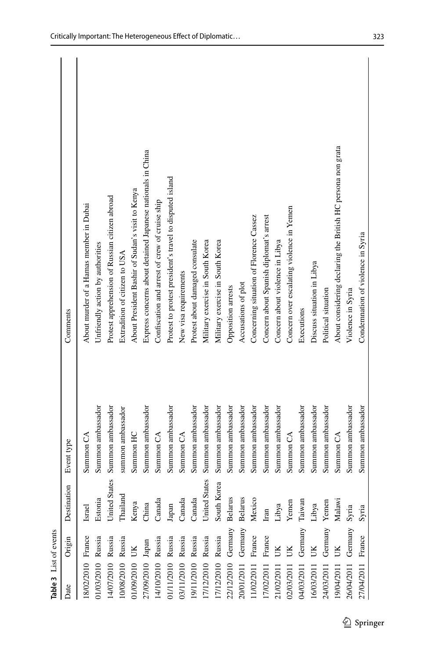<span id="page-14-0"></span>

| Table 3 List of events                  |         |                                                        |                      |                                                              |
|-----------------------------------------|---------|--------------------------------------------------------|----------------------|--------------------------------------------------------------|
| Date                                    | Origin  | Destination                                            | Event type           | Comments                                                     |
| 18/02/2010 France                       |         | Israel                                                 | Summon CA            | About murder of a Hamas member in Dubai                      |
| 01/03/2010 Russia                       |         |                                                        | Summon ambassador    | Unfriendly action by authorities                             |
| 14/07/2010 Russia                       |         |                                                        | Summon ambassador    | Protest apprehension of Russian citizen abroad               |
| 10/08/2010 Russia                       |         |                                                        | summon ambassador    | Extradition of citizen to USA                                |
| 01/09/2010                              | UK      | Estonia<br>United States<br>Thailand<br>Kenya<br>Kenya | Summon HC            | About President Bashir of Sudan's visit to Kenya             |
| 27/09/2010 Japan                        |         |                                                        | Summon ambassador    | Express concerns about detained Japanese nationals in China  |
| 14/10/2010 Russia                       |         | Canada                                                 | Summon CA            | Confiscation and arrest of crew of cruise ship               |
| 01/11/2010 Russia                       |         | $_{\rm Japan}$                                         | Summon ambassador    | Protest to protest president's travel to disputed island     |
| 03/11/2010 Russia                       |         | Canada                                                 | Summon <sub>CA</sub> | New visa requirements                                        |
| 19/11/2010 Russia                       |         | Canada                                                 | Summon ambassador    | Protest about damaged consulate                              |
| 17/12/2010 Russia                       |         | United States                                          | Summon ambassador    | Military exercise in South Korea                             |
| 17/12/2010 Russia<br>22/12/2010 Germany |         | South Korea                                            | Summon ambassador    | Military exercise in South Korea                             |
|                                         |         | <b>Belarus</b>                                         | Summon ambassador    | Opposition arrests                                           |
| 20/01/2011 Germany Belarus              |         |                                                        | Summon ambassador    | Accusations of plot                                          |
| 11/02/2011                              | France  | Mexico                                                 | Summon ambassador    | Concerning situation of Florence Cassez                      |
| 17/02/2011                              | France  | $_{\rm Iran}$                                          | Summon ambassador    | Concern about Spanish diplomat's arrest                      |
| 21/02/2011                              | UK      |                                                        | Summon ambassador    | Concern about violence in Libya                              |
| 02/03/2011                              | UK      | Libya<br>Yemen                                         | Summon CA            | Concern over escalating violence in Yemen                    |
| 04/03/2011                              | Germany | $\operatorname{Taiwan}$                                | Summon ambassador    | Executions                                                   |
| 16/03/2011                              | UK      | Libya                                                  | Summon ambassador    | Discuss situation in Libya                                   |
| 24/03/2011                              | Germany |                                                        | Summon ambassador    | Political situation                                          |
| 19/04/2011                              | UK      | Yemen<br>Malawi                                        | Summon <sub>CA</sub> | About considering declaring the British HC persona non grata |
| 26/04/2011 Germany                      |         | Syria                                                  | Summon ambassador    | Violence in Syria                                            |
| 27/04/2011                              | France  | Syria                                                  | Summon ambassador    | Condemnation of violence in Syria                            |
|                                         |         |                                                        |                      |                                                              |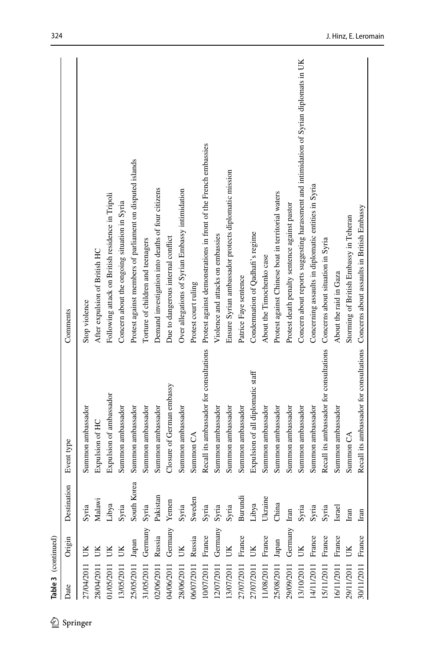| Date             | Origin             | $\overline{5}$<br>Destinat | Event type                                                                         | Comments                                                                                                |
|------------------|--------------------|----------------------------|------------------------------------------------------------------------------------|---------------------------------------------------------------------------------------------------------|
| 27/04/2011       |                    | Syria                      | Summon ambassador                                                                  | Stop violence                                                                                           |
| 28/04/2011       |                    | Malawi                     | Expulsion of HC                                                                    | After expulsion of British HC                                                                           |
| 01/05/2011       | UК                 | Libya                      | Expulsion of ambassador                                                            | Following attack on British residence in Tripoli                                                        |
| 13/05/2011       | UK                 | Syria                      | Summon ambassador                                                                  | Concern about the ongoing situation in Syria                                                            |
| 25/05/2011       | Japan              | orea<br>South K            | Summon ambassador                                                                  | Protest against members of parliament on disputed islands                                               |
| 31/05/2011       | Germany            | Syria                      | Summon ambassador                                                                  | Torture of children and teenagers                                                                       |
| 02/06/2011       | Russia             | Pakistan                   | Summon ambassador                                                                  | Demand investigation into deaths of four citizens                                                       |
| 04/06/2011       | Germany            | Yemen                      | Closure of German embassy                                                          | Due to dangerous internal conflict                                                                      |
| 28/06/2011 UK    |                    | Syria                      | Summon ambassador                                                                  | Over allegations of Syrian Embassy intimidation                                                         |
| 06/07/2011       | Russia             | Sweden                     | Summon <sub>CA</sub>                                                               | Protest court ruling                                                                                    |
| 10/07/2011       | France             | Syria                      |                                                                                    | Recall its ambassador for consultations Protest against demonstrations in front of the French embassies |
|                  | 12/07/2011 Germany | Syria                      | Summon ambassador                                                                  | Violence and attacks on embassies                                                                       |
| 13/07/2011       | UK                 | Syria                      | Summon ambassador                                                                  | Ensure Syrian ambassador protects diplomatic mission                                                    |
| 27/07/2011       | France             | Burundi                    | Summon ambassador                                                                  | Patrice Faye sentence                                                                                   |
| 27/07/2011       | UK                 | Libya                      | Expulsion of all diplomatic staff                                                  | Condemnation of Qadhafi's regime                                                                        |
| 11/08/2011       | France             | Ukraine                    | Summon ambassador                                                                  | About the Timochenko case                                                                               |
| 25/08/2011 Japan |                    | China                      | Summon ambassador                                                                  | Protest against Chinese boat in territorial waters                                                      |
| 29/09/2011       | Germany            | $_{\rm Iran}$              | Summon ambassador                                                                  | Protest death penalty sentence against pastor                                                           |
| 13/10/2011       | UK                 | Syria                      | Summon ambassador                                                                  | Concern about reports suggesting harassment and intimidation of Syrian diplomats in UK                  |
| 14/11/2011       | France             | Syria                      | Summon ambassador                                                                  | Concerning assaults in diplomatic entities in Syria                                                     |
| 15/11/2011       | France             | Syria                      | Recall its ambassador for consultations Concerns about situation in Syria          |                                                                                                         |
|                  | 16/11/2011 France  | Israel                     | Summon ambassador                                                                  | About the raid in Gaza                                                                                  |
| 29/11/2011       | UK                 | Iran                       | Summon <sub>CA</sub>                                                               | Storming of British Embassy in Teheran                                                                  |
| 30/11/2011       | France             | Iran                       | Recall its ambassador for consultations Concerns about assaults in British Embassy |                                                                                                         |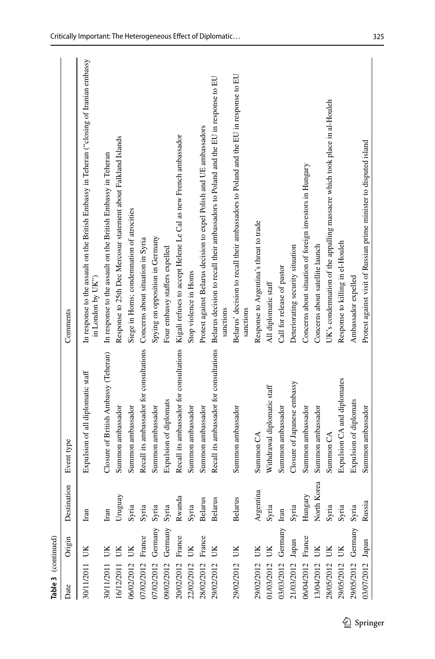| Table 3 (continued) |         |                |                                         |                                                                                                                |
|---------------------|---------|----------------|-----------------------------------------|----------------------------------------------------------------------------------------------------------------|
| Date                | Origin  | Destination    | Event type                              | Comments                                                                                                       |
| 30/11/2011 UK       |         | Iran           | Expulsion of all diplomatic staff       | In response to the assault on the British Embassy in Teheran ("closing of Iranian embassy<br>in London by UK") |
| 30/11/2011          | UK      | $_{\rm Iran}$  | Closure of British Ambassy (Teheran)    | In response to the assault on the British Embassy in Teheran                                                   |
| 16/12/2011          | UK      | Uruguay        | Summon ambassador                       | Response to 25th Dec Mercosur statement about Falkland Islands                                                 |
| 06/02/2012          | UK      | Syria          | Summon ambassador                       | Siege in Homs; condemnation of atrocities                                                                      |
| 07/02/2012          | France  | Syria          | Recall its ambassador for consultations | Concerns about situation in Syria                                                                              |
| 07/02/2012 Germany  |         | Syria          | Summon ambassador                       | Spying on opposition in Germany                                                                                |
| 09/02/2012 Germany  |         | Syria          | Expulsion of diplomats                  | Four embassy staffers expelled                                                                                 |
| 20/02/2012 France   |         | Rwanda         |                                         | Recall its ambassador for consultations Kigali refuses to accept Helene Le Cal as new French ambassador        |
| 22/02/2012          | UK      | Syria          | Summon ambassador                       | Stop violence in Homs                                                                                          |
| 28/02/2012          | France  | <b>Belarus</b> | Summon ambassador                       | Protest against Belarus decision to expel Polish and UE ambassadors                                            |
| 29/02/2012          | UК      | <b>Belarus</b> | Recall its ambassador for consultations | Belarus decision to recall their ambassadors to Poland and the EU in response to EU<br>sanctions               |
| 29/02/2012          | UK      | <b>Belarus</b> | Summon ambassador                       | Belarus' decision to recall their ambassadors to Poland and the EU in response to EU<br>sanctions              |
| 29/02/2012          | UK      | Argentina      | Summon <sub>CA</sub>                    | Response to Argentina's threat to trade                                                                        |
| 01/03/2012 UK       |         | Syria          | Withdrawal diplomatic staff             | All diplomatic staff                                                                                           |
| 03/03/2012          | Germany | Iran           | Summon ambassador                       | Call for release of pastor                                                                                     |
| 21/03/2012          | Japan   | Syria          | Closure of Japanese embassy             | Deteriorating security situation                                                                               |
| 06/04/2012 France   |         | Hungary        | Summon ambassador                       | Concerns about situation of foreign investors in Hungary                                                       |
| 13/04/2012          | UK      | North Korea    | Summon ambassador                       | Concerns about satellite launch                                                                                |
| 28/05/2012          | UК      | Syria          | Summon <sub>CA</sub>                    | UK's condemnation of the appalling massacre which took place in al-Houleh                                      |
| 29/05/2012          | UK      | Syria          | Expulsion CA and diplomates             | Response to killing in el-Houleh                                                                               |
| 29/05/2012 Germany  |         | Syria          | Expulsion of diplomats                  | Ambassador expelled                                                                                            |
| 03/07/2012 Japan    |         | Russia         | Summon ambassador                       | Protest against visit of Russian prime minister to disputed island                                             |
|                     |         |                |                                         |                                                                                                                |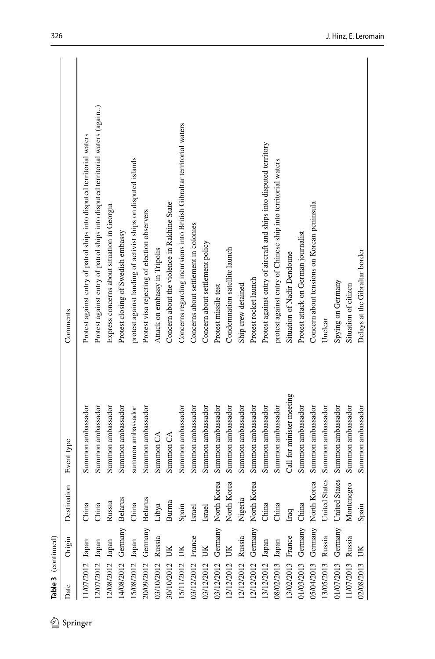| 丝        | Table 3 (continued) |         |                                |                           |                                                                                |
|----------|---------------------|---------|--------------------------------|---------------------------|--------------------------------------------------------------------------------|
| Springer | Date                | Origin  | Destination                    | Event type                | Comments                                                                       |
|          | 1/07/2012 Japan     |         | China                          | Summon ambassador         | Protest against entry of patrol ships into disputed territorial waters         |
|          | 12/07/2012 Japan    |         | China                          | Summon ambassador         | Protest against entry of patrol ships into disputed territorial waters (again) |
|          | 12/08/2012 Japan    |         | Russia                         | Summon ambassador         | Express concerns about situation in Georgia                                    |
|          | 14/08/2012          | Germany | <b>Belarus</b>                 | Summon ambassador         | Protest closing of Swedish embassy                                             |
|          | 15/08/2012          | Japan   | China                          | summon ambassador         | protest against landing of activist ships on disputed islands                  |
|          | 20/09/2012 Germany  |         | <b>Belarus</b>                 | Summon ambassador         | Protest visa rejecting of election observers                                   |
|          | 03/10/2012          | Russia  | Libya                          | Summon <sub>CA</sub>      | Attack on embassy in Tripolis                                                  |
|          | 30/10/2012          | UК      | Burma                          | Summon <sub>CA</sub>      | Concern about the violence in Rakhine State                                    |
|          | 15/11/2012          | UK      | Spain                          | Summon ambassador         | Concerns regarding incursions into British Gibraltar territorial waters        |
|          | 03/12/2012          | France  | Israel                         | Summon ambassador         | Concerns about settlement in colonies                                          |
|          | 03/12/2012 UK       |         | Israel                         | Summon ambassador         | Concern about settlement policy                                                |
|          | 03/12/2012          |         | Germany North Korea            | Summon ambassador         | Protest missile test                                                           |
|          | 12/12/2012          | UK      | North Korea                    | Summon ambassador         | Condemnation satellite launch                                                  |
|          | 12/12/2012          | Russia  | Nigeria                        | Summon ambassador         | Ship crew detained                                                             |
|          |                     |         | 12/12/2012 Germany North Korea | Summon ambassador         | Protest rocket launch                                                          |
|          | 13/12/2012 Japan    |         | China                          | Summon ambassador         | Protest against entry of aircraft and ships into disputed territory            |
|          | 08/02/2013 Japan    |         | China                          | Summon ambassador         | protest against entry of Chinese ship into territorial waters                  |
|          | 13/02/2013 France   |         | Iraq                           | Call for minister meeting | Situation of Nadir Dendoune                                                    |
|          | 01/03/2013 Germany  |         | China                          | Summon ambassador         | Protest attack on German journalist                                            |
|          |                     |         | 05/04/2013 Germany North Korea | Summon ambassador         | Concern about tensions on Korean peninsula                                     |
|          | 13/05/2013 Russia   |         | United States                  | Summon ambassador         | Unclear                                                                        |
|          | 01/07/2013          | Germany | <b>United States</b>           | Summon ambassador         | Spying on Germany                                                              |
|          | 11/07/2013 Russia   |         | Montenegro                     | Summon ambassador         | Situation of citizen                                                           |
|          | 02/08/2013          | UK      | Spain                          | Summon ambassador         | Delays at the Gibraltar border                                                 |
|          |                     |         |                                |                           |                                                                                |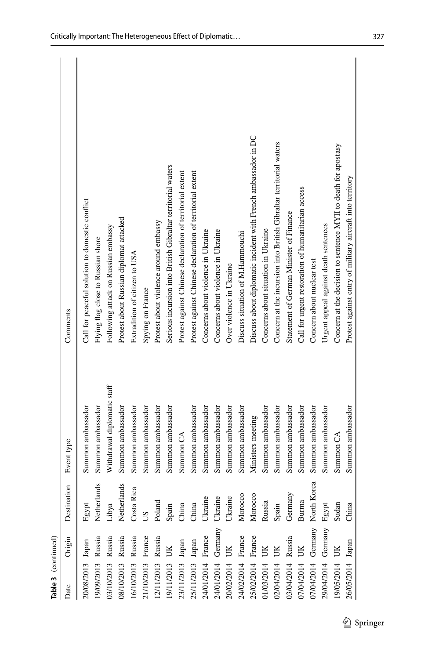| <b>Table 3</b> (continued) |                 |                          |                             |                                                                    |
|----------------------------|-----------------|--------------------------|-----------------------------|--------------------------------------------------------------------|
| Date                       | Origin          | Destination              | Event type                  | Comments                                                           |
| 20/08/2013 Japan           |                 | Egypt                    | Summon ambassador           | Call for peaceful solution to domestic conflict                    |
| 9/09/2013 Russia           |                 | Netherlands              | Summon ambassador           | Flying flag close to Russian shore                                 |
| 3/10/2013 Russia           |                 | Libya                    | Withdrawal diplomatic staff | Following attack on Russian embassy                                |
| 8/10/2013 Russia           |                 | Netherlands              | Summon ambassador           | Protest about Russian diplomat attacked                            |
| 6/10/2013 Russia           |                 | ica<br>Costa Ri          | Summon ambassador           | Extradition of citizen to USA                                      |
| 1/10/2013                  | France          | $\overline{c}$           | Summon ambassador           | Spying on France                                                   |
| 2/11/2013                  | Russia          | Poland                   | Summon ambassador           | Protest about violence around embassy                              |
| 9/11/2013                  | UK              | $S$ pain                 | Summon ambassador           | Serious incursion into British Gibraltar territorial waters        |
| 3/11/2013                  | $_{\rm{Japan}}$ | China                    | Summon <sub>CA</sub>        | Protest against Chinese declaration of territorial extent          |
| 25/11/2013                 | ${\it Japan}$   | China                    | Summon ambassador           | Protest against Chinese declaration of territorial extent          |
| 24/01/2014 France          |                 | Ukraine                  | Summon ambassador           | Concerns about violence in Ukraine                                 |
| 24/01/2014 Germany Ukraine |                 |                          | Summon ambassador           | Concerns about violence in Ukraine                                 |
| 20/02/2014                 | UК              | Ukraine                  | Summon ambassador           | Over violence in Ukraine                                           |
| 24/02/2014 France          |                 | Morocco                  | Summon ambassador           | Discuss situation of M.Hammouchi                                   |
| 25/02/2014 France          |                 | Morocco                  | Ministers meeting           | Discuss about diplomatic incident with French ambassador in DC     |
| 1/03/2014                  | UK              | Russia                   | Summon ambassador           | Concerns about situation in Ukraine                                |
| 02/04/2014                 | UK              | Spain                    | Summon ambassador           | Concern at the incursion into British Gibraltar territorial waters |
| 3/04/2014                  | Russia          | ⋋<br>German <sup>®</sup> | Summon ambassador           | Statement of German Minister of Finance                            |
| 07/04/2014                 | UK              | Burma                    | Summon ambassador           | Call for urgent restoration of humanitarian access                 |
| 07/04/2014 Germany         |                 | North Korea              | Summon ambassador           | Concern about nuclear test                                         |
| 29/04/2014 Germany         |                 | Egypt                    | Summon ambassador           | Urgent appeal against death sentences                              |
| 9/05/2014                  | UK              | Sudan                    | Summon <sub>CA</sub>        | Concern at the decision to sentence MYII to death for apostasy     |
| 26/05/2014 Japan           |                 | China                    | Summon ambassador           | Protest against entry of military aircraft into territory          |
|                            |                 |                          |                             |                                                                    |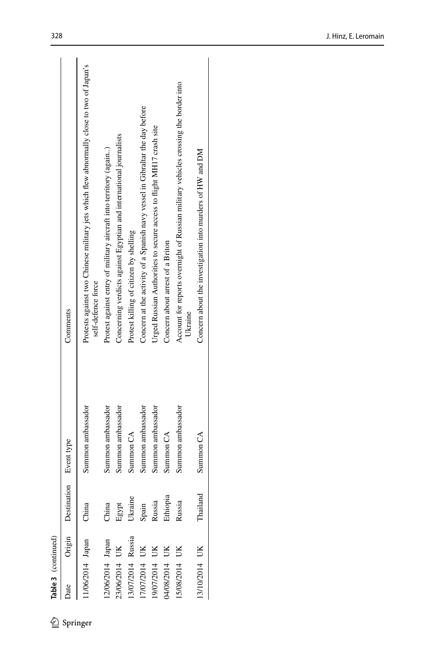| Date             | Origin | Destination Event type |                      | Comments                                                                                                       |
|------------------|--------|------------------------|----------------------|----------------------------------------------------------------------------------------------------------------|
| 1/06/2014 Japan  |        | China                  | Summon ambassador    | Protests against two Chinese military jets which flew abnormally close to two of Japan's<br>self-defence force |
| 12/06/2014 Japan |        | China                  | Summon ambassador    | Protest against entry of military aircraft into territory (again)                                              |
| 23/06/2014 UK    |        | Egypt                  | Summon ambassador    | Concerning verdicts against Egyptian and international journalists                                             |
| 13/07/2014       | Russia | Ukraine                | Summon <sub>CA</sub> | Protest killing of citizen by shelling                                                                         |
| 7/07/2014 UK     |        | Spain<br>Russia        | Summon ambassador    | Concern at the activity of a Spanish navy vessel in Gibraltar the day before                                   |
| 19/07/2014       | UK.    |                        | Summon ambassador    | Urged Russian Authorities to secure access to flight MH17 crash site                                           |
| 102/8/074        |        | Ethiopia               | Summon <sub>CA</sub> | Concern about arrest of a Briton                                                                               |
| 15/08/2014       |        | Russia                 | Summon ambassador    | Account for reports overnight of Russian military vehicles crossing the border into<br>Ukraine                 |
| 13/10/2014 UK    |        | Thailar                | Summon <sub>CA</sub> | Concern about the investigation into murders of HW and DM                                                      |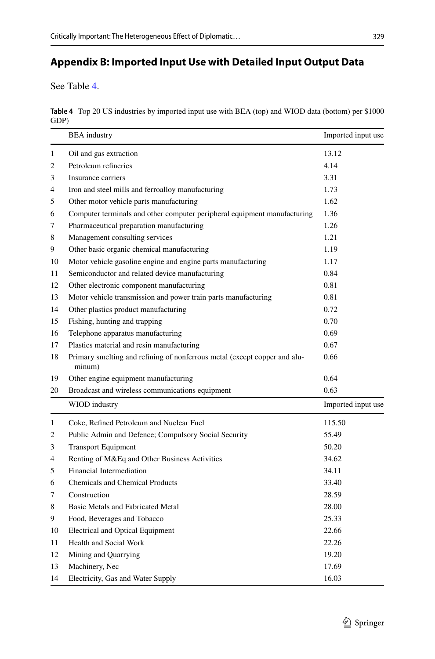#### 

## <span id="page-20-1"></span>**Appendix B: Imported Input Use with Detailed Input Output Data**

See Table [4.](#page-20-0)

<span id="page-20-0"></span>

|      | Table 4 Top 20 US industries by imported input use with BEA (top) and WIOD data (bottom) per \$1000 |
|------|-----------------------------------------------------------------------------------------------------|
| GDP) |                                                                                                     |

|    | <b>BEA</b> industry                                                                 | Imported input use |
|----|-------------------------------------------------------------------------------------|--------------------|
| 1  | Oil and gas extraction                                                              | 13.12              |
| 2  | Petroleum refineries                                                                | 4.14               |
| 3  | Insurance carriers                                                                  | 3.31               |
| 4  | Iron and steel mills and ferroalloy manufacturing                                   | 1.73               |
| 5  | Other motor vehicle parts manufacturing                                             | 1.62               |
| 6  | Computer terminals and other computer peripheral equipment manufacturing            | 1.36               |
| 7  | Pharmaceutical preparation manufacturing                                            | 1.26               |
| 8  | Management consulting services                                                      | 1.21               |
| 9  | Other basic organic chemical manufacturing                                          | 1.19               |
| 10 | Motor vehicle gasoline engine and engine parts manufacturing                        | 1.17               |
| 11 | Semiconductor and related device manufacturing                                      | 0.84               |
| 12 | Other electronic component manufacturing                                            | 0.81               |
| 13 | Motor vehicle transmission and power train parts manufacturing                      | 0.81               |
| 14 | Other plastics product manufacturing                                                | 0.72               |
| 15 | Fishing, hunting and trapping                                                       | 0.70               |
| 16 | Telephone apparatus manufacturing                                                   | 0.69               |
| 17 | Plastics material and resin manufacturing                                           | 0.67               |
| 18 | Primary smelting and refining of nonferrous metal (except copper and alu-<br>minum) | 0.66               |
| 19 | Other engine equipment manufacturing                                                | 0.64               |
| 20 | Broadcast and wireless communications equipment                                     | 0.63               |
|    | WIOD industry                                                                       | Imported input use |
| 1  | Coke, Refined Petroleum and Nuclear Fuel                                            | 115.50             |
| 2  | Public Admin and Defence; Compulsory Social Security                                | 55.49              |
| 3  | <b>Transport Equipment</b>                                                          | 50.20              |
| 4  | Renting of M&Eq and Other Business Activities                                       | 34.62              |
| 5  | Financial Intermediation                                                            | 34.11              |
| 6  | <b>Chemicals and Chemical Products</b>                                              | 33.40              |
| 7  | Construction                                                                        | 28.59              |
| 8  | Basic Metals and Fabricated Metal                                                   | 28.00              |
| 9  | Food, Beverages and Tobacco                                                         | 25.33              |
| 10 | <b>Electrical and Optical Equipment</b>                                             | 22.66              |
| 11 | Health and Social Work                                                              | 22.26              |
| 12 | Mining and Quarrying                                                                | 19.20              |
| 13 | Machinery, Nec                                                                      | 17.69              |
| 14 | Electricity, Gas and Water Supply                                                   | 16.03              |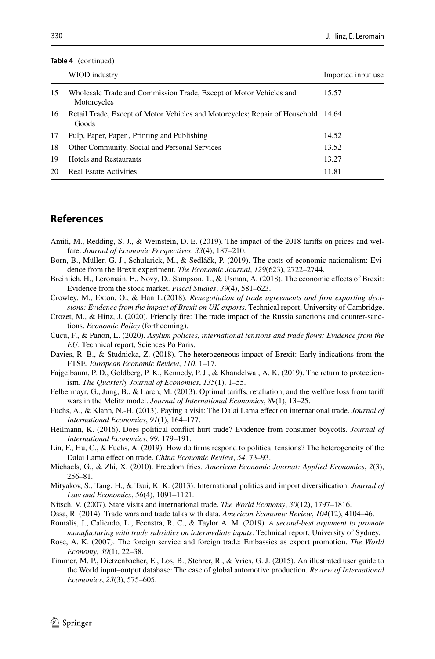| <b>Table 4</b> (continued) |  |
|----------------------------|--|
|----------------------------|--|

|    | WIOD industry                                                                              | Imported input use |
|----|--------------------------------------------------------------------------------------------|--------------------|
| 15 | Wholesale Trade and Commission Trade, Except of Motor Vehicles and<br>Motorcycles          | 15.57              |
| 16 | Retail Trade, Except of Motor Vehicles and Motorcycles; Repair of Household 14.64<br>Goods |                    |
| 17 | Pulp, Paper, Paper, Printing and Publishing                                                | 14.52              |
| 18 | Other Community, Social and Personal Services                                              | 13.52              |
| 19 | <b>Hotels and Restaurants</b>                                                              | 13.27              |
| 20 | <b>Real Estate Activities</b>                                                              | 11.81              |

## **References**

- <span id="page-21-14"></span>Amiti, M., Redding, S. J., & Weinstein, D. E. (2019). The impact of the 2018 tarifs on prices and welfare. *Journal of Economic Perspectives*, *33*(4), 187–210.
- <span id="page-21-10"></span>Born, B., Müller, G. J., Schularick, M., & Sedláčk, P. (2019). The costs of economic nationalism: Evidence from the Brexit experiment. *The Economic Journal*, *129*(623), 2722–2744.
- <span id="page-21-8"></span>Breinlich, H., Leromain, E., Novy, D., Sampson, T., & Usman, A. (2018). The economic efects of Brexit: Evidence from the stock market. *Fiscal Studies*, *39*(4), 581–623.
- <span id="page-21-11"></span>Crowley, M., Exton, O., & Han L.(2018). *Renegotiation of trade agreements and frm exporting decisions: Evidence from the impact of Brexit on UK exports*. Technical report, University of Cambridge.
- <span id="page-21-12"></span>Crozet, M., & Hinz, J. (2020). Friendly fre: The trade impact of the Russia sanctions and counter-sanctions. *Economic Policy* (forthcoming).

<span id="page-21-6"></span>Cucu, F., & Panon, L. (2020). *Asylum policies, international tensions and trade fows: Evidence from the EU*. Technical report, Sciences Po Paris.

- <span id="page-21-9"></span>Davies, R. B., & Studnicka, Z. (2018). The heterogeneous impact of Brexit: Early indications from the FTSE. *European Economic Review*, *110*, 1–17.
- <span id="page-21-13"></span>Fajgelbaum, P. D., Goldberg, P. K., Kennedy, P. J., & Khandelwal, A. K. (2019). The return to protectionism. *The Quarterly Journal of Economics*, *135*(1), 1–55.
- <span id="page-21-16"></span>Felbermayr, G., Jung, B., & Larch, M. (2013). Optimal tarifs, retaliation, and the welfare loss from tarif wars in the Melitz model. *Journal of International Economics*, *89*(1), 13–25.
- <span id="page-21-2"></span>Fuchs, A., & Klann, N.-H. (2013). Paying a visit: The Dalai Lama effect on international trade. *Journal of International Economics*, *91*(1), 164–177.

<span id="page-21-4"></span>Heilmann, K. (2016). Does political confict hurt trade? Evidence from consumer boycotts. *Journal of International Economics*, *99*, 179–191.

- <span id="page-21-3"></span>Lin, F., Hu, C., & Fuchs, A. (2019). How do frms respond to political tensions? The heterogeneity of the Dalai Lama efect on trade. *China Economic Review*, *54*, 73–93.
- <span id="page-21-7"></span>Michaels, G., & Zhi, X. (2010). Freedom fries. *American Economic Journal: Applied Economics*, *2*(3), 256–81.
- <span id="page-21-5"></span>Mityakov, S., Tang, H., & Tsui, K. K. (2013). International politics and import diversifcation. *Journal of Law and Economics*, *56*(4), 1091–1121.
- <span id="page-21-1"></span>Nitsch, V. (2007). State visits and international trade. *The World Economy*, *30*(12), 1797–1816.
- <span id="page-21-15"></span>Ossa, R. (2014). Trade wars and trade talks with data. *American Economic Review*, *104*(12), 4104–46.
- <span id="page-21-17"></span>Romalis, J., Caliendo, L., Feenstra, R. C., & Taylor A. M. (2019). *A second-best argument to promote manufacturing with trade subsidies on intermediate inputs*. Technical report, University of Sydney.
- <span id="page-21-0"></span>Rose, A. K. (2007). The foreign service and foreign trade: Embassies as export promotion. *The World Economy*, *30*(1), 22–38.
- <span id="page-21-18"></span>Timmer, M. P., Dietzenbacher, E., Los, B., Stehrer, R., & Vries, G. J. (2015). An illustrated user guide to the World input–output database: The case of global automotive production. *Review of International Economics*, *23*(3), 575–605.